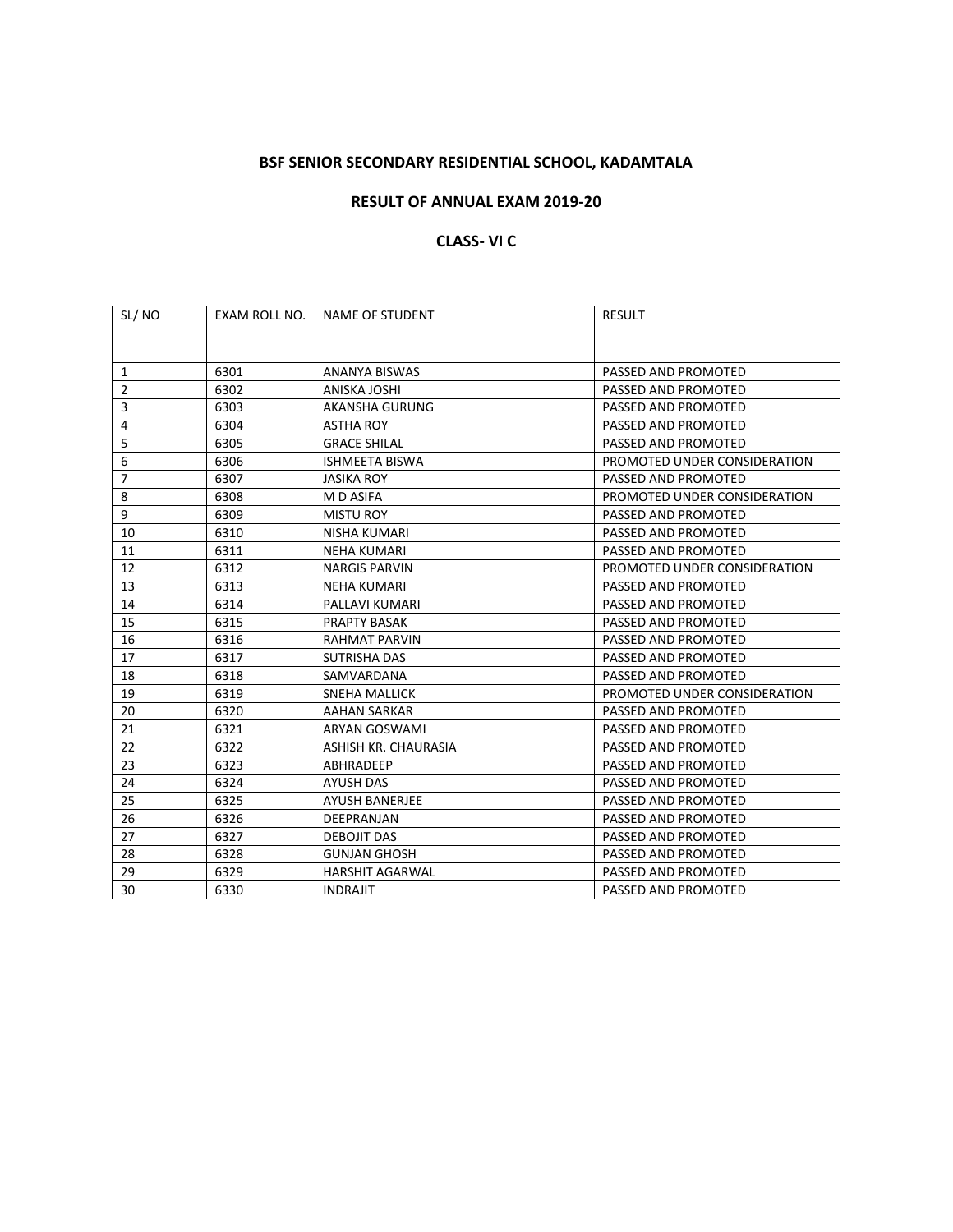# **BSF SENIOR SECONDARY RESIDENTIAL SCHOOL, KADAMTALA**

### **RESULT OF ANNUAL EXAM 2019-20**

# **CLASS- VI C**

| SL/NO          | EXAM ROLL NO. | NAME OF STUDENT        | <b>RESULT</b>                |
|----------------|---------------|------------------------|------------------------------|
|                |               |                        |                              |
| 1              | 6301          | ANANYA BISWAS          | PASSED AND PROMOTED          |
| $\overline{2}$ | 6302          | ANISKA JOSHI           | PASSED AND PROMOTED          |
| 3              | 6303          | AKANSHA GURUNG         | PASSED AND PROMOTED          |
| 4              | 6304          | <b>ASTHA ROY</b>       | PASSED AND PROMOTED          |
| 5              | 6305          | <b>GRACE SHILAL</b>    | PASSED AND PROMOTED          |
| 6              | 6306          | <b>ISHMEETA BISWA</b>  | PROMOTED UNDER CONSIDERATION |
| $\overline{7}$ | 6307          | <b>JASIKA ROY</b>      | PASSED AND PROMOTED          |
| 8              | 6308          | M D ASIFA              | PROMOTED UNDER CONSIDERATION |
| 9              | 6309          | <b>MISTU ROY</b>       | PASSED AND PROMOTED          |
| 10             | 6310          | NISHA KUMARI           | PASSED AND PROMOTED          |
| 11             | 6311          | <b>NEHA KUMARI</b>     | PASSED AND PROMOTED          |
| 12             | 6312          | <b>NARGIS PARVIN</b>   | PROMOTED UNDER CONSIDERATION |
| 13             | 6313          | <b>NEHA KUMARI</b>     | PASSED AND PROMOTED          |
| 14             | 6314          | PALLAVI KUMARI         | PASSED AND PROMOTED          |
| 15             | 6315          | <b>PRAPTY BASAK</b>    | PASSED AND PROMOTED          |
| 16             | 6316          | <b>RAHMAT PARVIN</b>   | PASSED AND PROMOTED          |
| 17             | 6317          | SUTRISHA DAS           | PASSED AND PROMOTED          |
| 18             | 6318          | SAMVARDANA             | PASSED AND PROMOTED          |
| 19             | 6319          | SNEHA MALLICK          | PROMOTED UNDER CONSIDERATION |
| 20             | 6320          | AAHAN SARKAR           | PASSED AND PROMOTED          |
| 21             | 6321          | ARYAN GOSWAMI          | PASSED AND PROMOTED          |
| 22             | 6322          | ASHISH KR. CHAURASIA   | PASSED AND PROMOTED          |
| 23             | 6323          | ABHRADEEP              | PASSED AND PROMOTED          |
| 24             | 6324          | AYUSH DAS              | PASSED AND PROMOTED          |
| 25             | 6325          | <b>AYUSH BANERJEE</b>  | PASSED AND PROMOTED          |
| 26             | 6326          | DEEPRANJAN             | PASSED AND PROMOTED          |
| 27             | 6327          | <b>DEBOJIT DAS</b>     | PASSED AND PROMOTED          |
| 28             | 6328          | <b>GUNJAN GHOSH</b>    | PASSED AND PROMOTED          |
| 29             | 6329          | <b>HARSHIT AGARWAL</b> | PASSED AND PROMOTED          |
| 30             | 6330          | <b>INDRAJIT</b>        | PASSED AND PROMOTED          |